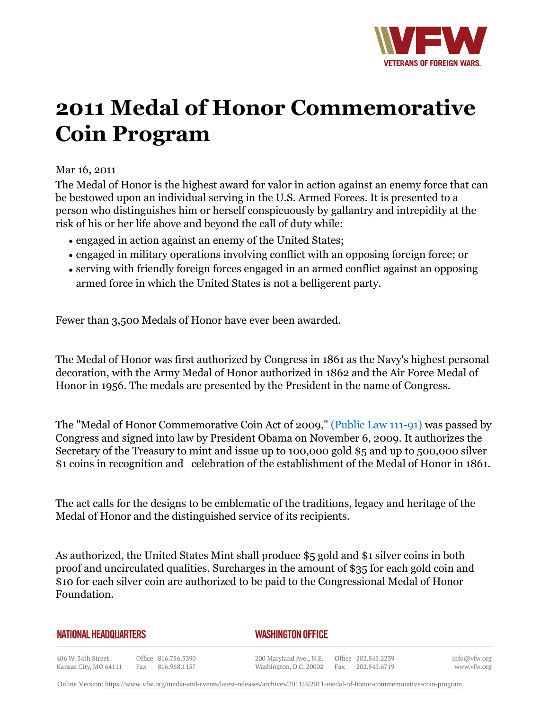

# **2011 Medal of Honor Commemorative Coin Program**

## Mar 16, 2011

The Medal of Honor is the highest award for valor in action against an enemy force that can be bestowed upon an individual serving in the U.S. Armed Forces. It is presented to a person who distinguishes him or herself conspicuously by gallantry and intrepidity at the risk of his or her life above and beyond the call of duty while:

- engaged in action against an enemy of the United States;
- engaged in military operations involving conflict with an opposing foreign force; or
- serving with friendly foreign forces engaged in an armed conflict against an opposing armed force in which the United States is not a belligerent party.

Fewer than 3,500 Medals of Honor have ever been awarded.

The Medal of Honor was first authorized by Congress in 1861 as the Navy's highest personal decoration, with the Army Medal of Honor authorized in 1862 and the Air Force Medal of Honor in 1956. The medals are presented by the President in the name of Congress.

The "Medal of Honor Commemorative Coin Act of 2009," (Public Law 111-91) was passed by Congress and signed into law by President Obama on November 6, 2009. It authorizes the Secretary of the Treasury to mint and issue up to 100,000 gold \$5 and up to 500,000 silver \$1 coins in recognition and celebration of the establishment of the Medal of Honor in 1861.

The act calls for the designs to be emblematic of the traditions, legacy and heritage of the Medal of Honor and the distinguished service of its recipients.

As authorized, the United States Mint shall produce \$5 gold and \$1 silver coins in both proof and uncirculated qualities. Surcharges in the amount of \$35 for each gold coin and \$10 for each silver coin are authorized to be paid to the Congressional Medal of Honor Foundation.

#### **NATIONAL HEADQUARTERS**

### *WASHINGTON OFFICE*

406 W. 34th Street Office 816.756.3390 Fax 816.968.1157 Kansas City, MO 64111

200 Maryland Ave., N.E. Washington, D.C. 20002

Office 202.543.2239 Fax 202.543.6719

info@vfw.org www.vfw.org

Online Version:<https://www.vfw.org/media-and-events/latest-releases/archives/2011/3/2011-medal-of-honor-commemorative-coin-program>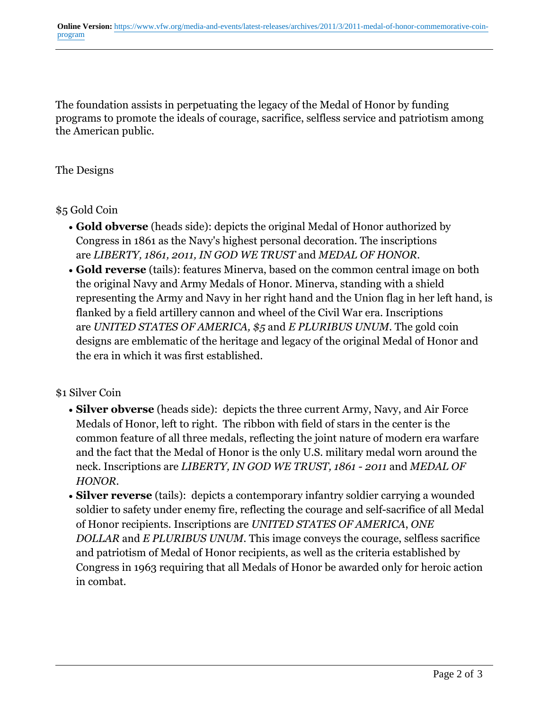The foundation assists in perpetuating the legacy of the Medal of Honor by funding programs to promote the ideals of courage, sacrifice, selfless service and patriotism among the American public.

## The Designs

## \$5 Gold Coin

- **Gold obverse** (heads side): depicts the original Medal of Honor authorized by Congress in 1861 as the Navy's highest personal decoration. The inscriptions are *LIBERTY, 1861, 2011, IN GOD WE TRUST* and *MEDAL OF HONOR.*
- Gold reverse (tails): features Minerva, based on the common central image on both the original Navy and Army Medals of Honor. Minerva, standing with a shield representing the Army and Navy in her right hand and the Union flag in her left hand, is flanked by a field artillery cannon and wheel of the Civil War era. Inscriptions are *UNITED STATES OF AMERICA, \$5* and *E PLURIBUS UNUM.* The gold coin designs are emblematic of the heritage and legacy of the original Medal of Honor and the era in which it was first established.

## \$1 Silver Coin

- **Silver obverse** (heads side): depicts the three current Army, Navy, and Air Force Medals of Honor, left to right. The ribbon with field of stars in the center is the common feature of all three medals, reflecting the joint nature of modern era warfare and the fact that the Medal of Honor is the only U.S. military medal worn around the neck. Inscriptions are *LIBERTY, IN GOD WE TRUST, 1861 - 2011* and *MEDAL OF HONOR.*
- **Silver reverse** (tails): depicts a contemporary infantry soldier carrying a wounded soldier to safety under enemy fire, reflecting the courage and self-sacrifice of all Medal of Honor recipients. Inscriptions are *UNITED STATES OF AMERICA*, *ONE DOLLAR* and *E PLURIBUS UNUM*. This image conveys the courage, selfless sacrifice and patriotism of Medal of Honor recipients, as well as the criteria established by Congress in 1963 requiring that all Medals of Honor be awarded only for heroic action in combat.